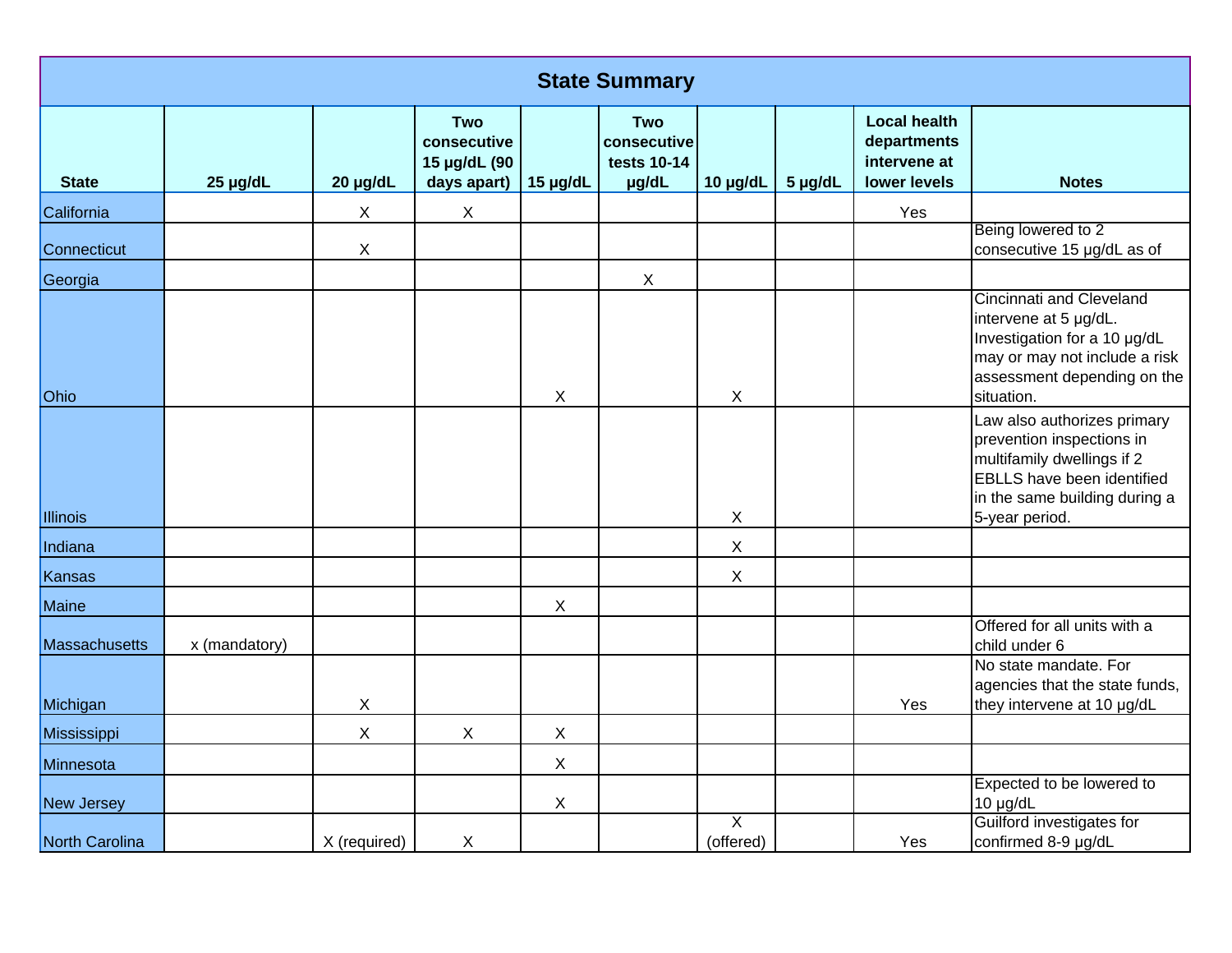| <b>State Summary</b> |               |              |                                                          |                           |                                            |                             |         |                                                                    |                                                                                                                                                                                |  |
|----------------------|---------------|--------------|----------------------------------------------------------|---------------------------|--------------------------------------------|-----------------------------|---------|--------------------------------------------------------------------|--------------------------------------------------------------------------------------------------------------------------------------------------------------------------------|--|
| <b>State</b>         | 25 µg/dL      | 20 µg/dL     | <b>Two</b><br>consecutive<br>15 µg/dL (90<br>days apart) | 15 µg/dL                  | Two<br>consecutive<br>tests 10-14<br>µg/dL | 10 µg/dL                    | 5 µg/dL | <b>Local health</b><br>departments<br>intervene at<br>lower levels | <b>Notes</b>                                                                                                                                                                   |  |
| California           |               | $\mathsf X$  | $\mathsf{X}$                                             |                           |                                            |                             |         | Yes                                                                |                                                                                                                                                                                |  |
| Connecticut          |               | X            |                                                          |                           |                                            |                             |         |                                                                    | Being lowered to 2<br>consecutive 15 µg/dL as of                                                                                                                               |  |
| Georgia              |               |              |                                                          |                           | $\mathsf X$                                |                             |         |                                                                    |                                                                                                                                                                                |  |
| Ohio                 |               |              |                                                          | $\boldsymbol{\mathsf{X}}$ |                                            | $\mathsf{X}$                |         |                                                                    | <b>Cincinnati and Cleveland</b><br>intervene at 5 µg/dL.<br>Investigation for a 10 µg/dL<br>may or may not include a risk<br>assessment depending on the<br>situation.         |  |
| Illinois             |               |              |                                                          |                           |                                            | $\mathsf{X}$                |         |                                                                    | Law also authorizes primary<br>prevention inspections in<br>multifamily dwellings if 2<br><b>EBLLS</b> have been identified<br>in the same building during a<br>5-year period. |  |
| Indiana              |               |              |                                                          |                           |                                            | $\mathsf X$                 |         |                                                                    |                                                                                                                                                                                |  |
| Kansas               |               |              |                                                          |                           |                                            | $\pmb{\times}$              |         |                                                                    |                                                                                                                                                                                |  |
| Maine                |               |              |                                                          | $\boldsymbol{\mathsf{X}}$ |                                            |                             |         |                                                                    |                                                                                                                                                                                |  |
| Massachusetts        | x (mandatory) |              |                                                          |                           |                                            |                             |         |                                                                    | Offered for all units with a<br>child under 6                                                                                                                                  |  |
| Michigan             |               | X            |                                                          |                           |                                            |                             |         | Yes                                                                | No state mandate. For<br>agencies that the state funds,<br>they intervene at 10 µg/dL                                                                                          |  |
| Mississippi          |               | $\mathsf X$  | $\mathsf X$                                              | $\boldsymbol{\mathsf{X}}$ |                                            |                             |         |                                                                    |                                                                                                                                                                                |  |
| Minnesota            |               |              |                                                          | $\boldsymbol{\mathsf{X}}$ |                                            |                             |         |                                                                    |                                                                                                                                                                                |  |
| New Jersey           |               |              |                                                          | $\boldsymbol{\mathsf{X}}$ |                                            |                             |         |                                                                    | Expected to be lowered to<br>10 µg/dL                                                                                                                                          |  |
| North Carolina       |               | X (required) | X                                                        |                           |                                            | $\overline{X}$<br>(offered) |         | Yes                                                                | Guilford investigates for<br>confirmed 8-9 µg/dL                                                                                                                               |  |